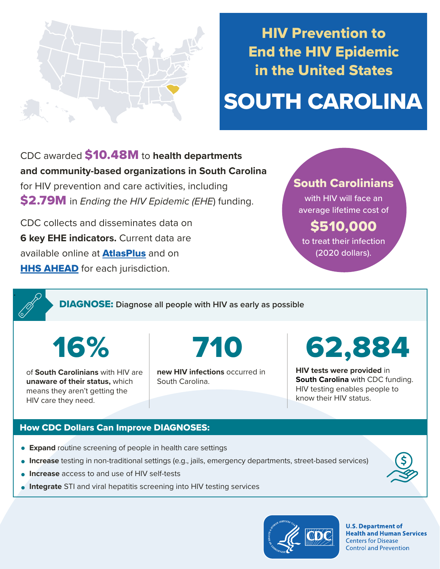

# HIV Prevention to End the HIV Epidemic in the United States

# SOUTH CAROLINA

CDC awarded \$10.48M to **health departments and community-based organizations in South Carolina**  for HIV prevention and care activities, including \$2.79M in *Ending the HIV Epidemic (EHE*) funding.

CDC collects and disseminates data on **6 key EHE indicators.** Current data are available online at **[AtlasPlus](https://www.cdc.gov/nchhstp/atlas/index.htm)** and on **[HHS AHEAD](https://ahead.hiv.gov/)** for each jurisdiction.

# South Carolinians

with HIV will face an average lifetime cost of

\$510,000 to treat their infection

(2020 dollars).

DIAGNOSE: **Diagnose all people with HIV as early as possible** 

16%

.

of **South Carolinians** with HIV are **unaware of their status,** which means they aren't getting the HIV care they need.

710

**new HIV infections** occurred in South Carolina.

62,8

**HIV tests were provided** in **South Carolina** with CDC funding. HIV testing enables people to know their HIV status.

## How CDC Dollars Can Improve DIAGNOSES:

- **Expand** routine screening of people in health care settings
- **Increase** testing in non-traditional settings (e.g., jails, emergency departments, street-based services)
- **Increase** access to and use of HIV self-tests
- **Integrate** STI and viral hepatitis screening into HIV testing services



**U.S. Department of Health and Human Services Centers for Disease Control and Prevention**